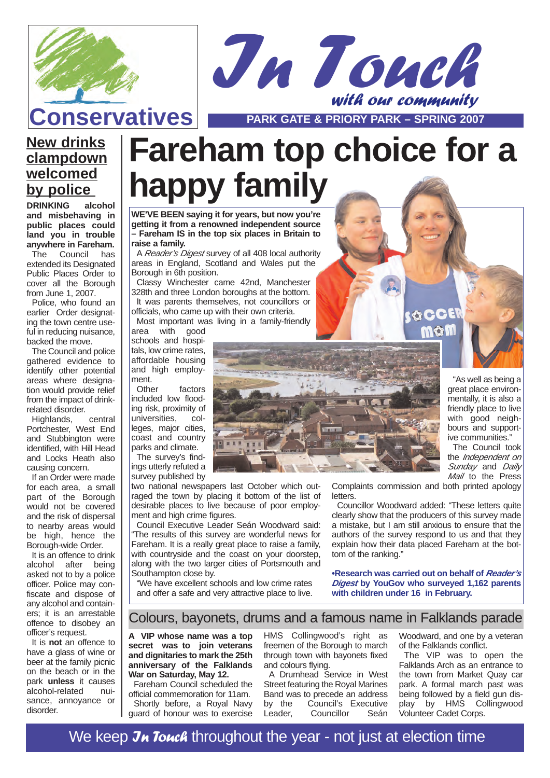



**Conservatives PARK GATE & PRIORY PARK – SPRING 2007** 

## **New drinks clampdown welcomed by police**

**and misbehaving in public places could land you in trouble anywhere in Fareham.**

The Council has extended its Designated Public Places Order to cover all the Borough from June 1, 2007.

Police, who found an earlier Order designating the town centre useful in reducing nuisance. backed the move.

The Council and police gathered evidence to identify other potential areas where designation would provide relief from the impact of drinkrelated disorder.

Highlands, central Portchester, West End and Stubbington were identified, with Hill Head and Locks Heath also causing concern.

If an Order were made for each area, a small part of the Borough would not be covered and the risk of dispersal to nearby areas would be high, hence the Borough-wide Order.

It is an offence to drink alcohol after being asked not to by a police officer. Police may confiscate and dispose of any alcohol and containers; it is an arrestable offence to disobey an officer's request.

It is **not** an offence to have a glass of wine or beer at the family picnic on the beach or in the park **unless** it causes alcohol-related nuisance, annoyance or disorder.

# **Fareham top choice for a <u>by police</u> happy family** have not allow the set of  $P$

**WE'VE BEEN saying it for years, but now you're getting it from a renowned independent source – Fareham IS in the top six places in Britain to raise a family.**

A Reader's Digest survey of all 408 local authority areas in England, Scotland and Wales put the Borough in 6th position.

Classy Winchester came 42nd, Manchester 328th and three London boroughs at the bottom. It was parents themselves, not councillors or officials, who came up with their own criteria. Most important was living in a family-friendly

area with good schools and hospitals, low crime rates, affordable housing and high employ-

ment.<br>Other factors included low flooding risk, proximity of universities. leges, major cities, coast and country parks and climate.

The survey's findings utterly refuted a survey published by

two national newspapers last October which outraged the town by placing it bottom of the list of desirable places to live because of poor employment and high crime figures.

Council Executive Leader Seán Woodward said: "The results of this survey are wonderful news for Fareham. It is a really great place to raise a family, with countryside and the coast on your doorstep, along with the two larger cities of Portsmouth and Southampton close by.

"We have excellent schools and low crime rates and offer a safe and very attractive place to live.



"As well as being a great place environmentally, it is also a friendly place to live with good neighbours and supportive communities."

The Council took the *Independent* on Sunday and Daily Mail to the Press

Complaints commission and both printed apology letters.

**SOCE** mon

Councillor Woodward added: "These letters quite clearly show that the producers of this survey made a mistake, but I am still anxious to ensure that the authors of the survey respond to us and that they explain how their data placed Fareham at the bottom of the ranking."

**•Research was carried out on behalf of Reader's Digest by YouGov who surveyed 1,162 parents with children under 16 in February.**

### Colours, bayonets, drums and a famous name in Falklands parade

**A VIP whose name was a top** secret was to join veterans **and dignitaries to mark the 25th anniversary of the Falklands War on Saturday, May 12.**

Fareham Council scheduled the official commemoration for 11am. Shortly before, a Royal Navy guard of honour was to exercise HMS Collingwood's right as freemen of the Borough to march through town with bayonets fixed and colours flying.

A Drumhead Service in West Street featuring the Royal Marines Band was to precede an address<br>by the Council's Executive by the Council's Executive<br>Leader, Councillor Seán Councillor

Woodward, and one by a veteran of the Falklands conflict.

The VIP was to open the Falklands Arch as an entrance to the town from Market Quay car park. A formal march past was being followed by a field gun display by HMS Collingwood Volunteer Cadet Corps.

We keep Jn Touch throughout the year - not just at election time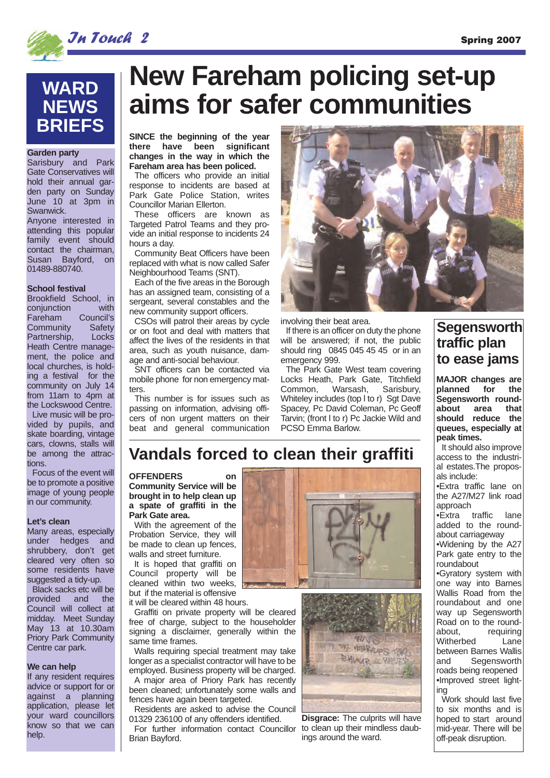

## **WARD NEWS BRIEFS**

#### **Garden party**

Sarisbury and Park Gate Conservatives will hold their annual garden party on Sunday June 10 at 3pm in Swanwick. Anyone interested in

attending this popular family event should contact the chairman, Susan Bayford, on 01489-880740.

#### **School festival**

Brookfield School, in conjunction with<br>Fareham Council's Fareham Council's<br>Community Safety Community Partnership, Locks Heath Centre management, the police and local churches, is holding a festival for the community on July 14 from 11am to 4pm at the Lockswood Centre.

Live music will be provided by pupils, and skate boarding, vintage cars, clowns, stalls will be among the attractions.

Focus of the event will be to promote a positive image of young people in our community.

#### **Let's clean**

Many areas, especially under hedges and shrubbery, don't get cleared very often so some residents have suggested a tidy-up.

Black sacks etc will be provided and the Council will collect at midday. Meet Sunday May 13 at 10.30am Priory Park Community Centre car park.

#### **We can help**

If any resident requires advice or support for or against a planning application, please let your ward councillors know so that we can help.

# **New Fareham policing set-up aims for safer communities**

**SINCE the beginning of the year there have been significant changes in the way in which the Fareham area has been policed.** 

The officers who provide an initial response to incidents are based at Park Gate Police Station, writes Councillor Marian Ellerton.

These officers are known as Targeted Patrol Teams and they provide an initial response to incidents 24 hours a day.

Community Beat Officers have been replaced with what is now called Safer Neighbourhood Teams (SNT).

Each of the five areas in the Borough has an assigned team, consisting of a sergeant, several constables and the new community support officers.

CSOs will patrol their areas by cycle or on foot and deal with matters that affect the lives of the residents in that area, such as youth nuisance, damage and anti-social behaviour.

SNT officers can be contacted via mobile phone for non emergency matters.

This number is for issues such as passing on information, advising officers of non urgent matters on their beat and general communication



involving their beat area.

If there is an officer on duty the phone will be answered; if not, the public should ring 0845 045 45 45 or in an emergency 999.

The Park Gate West team covering Locks Heath, Park Gate, Titchfield Common, Warsash, Sarisbury, Whiteley includes (top l to r) Sgt Dave Spacey, Pc David Coleman, Pc Geoff Tarvin; (front l to r) Pc Jackie Wild and PCSO Emma Barlow.

## **Segensworth traffic plan to ease jams**

**MAJOR changes are** for the **Segensworth round**about **should reduce the queues, especially at peak times.** 

It should also improve access to the industrial estates.The proposals include:

•Extra traffic lane on the A27/M27 link road approach

•Extra traffic lane added to the roundabout carriageway •Widening by the A27

Park gate entry to the roundabout

•Gyratory system with one way into Barnes Wallis Road from the roundabout and one way up Segensworth Road on to the round-<br>about requiring requiring<br>Lane Witherbed between Barnes Wallis<br>and Segensworth Segensworth roads being reopened •Improved street lighting

Work should last five to six months and is hoped to start around mid-year. There will be off-peak disruption.

## **Vandals forced to clean their graffiti**

**OFFENDERS on Community Service will be brought in to help clean up a spate of graffiti in the Park Gate area.**

With the agreement of the Probation Service, they will be made to clean up fences, walls and street furniture.

It is hoped that graffiti on Council property will be cleaned within two weeks, but if the material is offensive

it will be cleared within 48 hours.

Graffiti on private property will be cleared free of charge, subject to the householder signing a disclaimer, generally within the same time frames.

Walls requiring special treatment may take longer as a specialist contractor will have to be employed. Business property will be charged.

A major area of Priory Park has recently been cleaned; unfortunately some walls and fences have again been targeted.

Residents are asked to advise the Council 01329 236100 of any offenders identified.

For further information contact Councillor Brian Bayford.





**Disgrace:** The culprits will have to clean up their mindless daubings around the ward.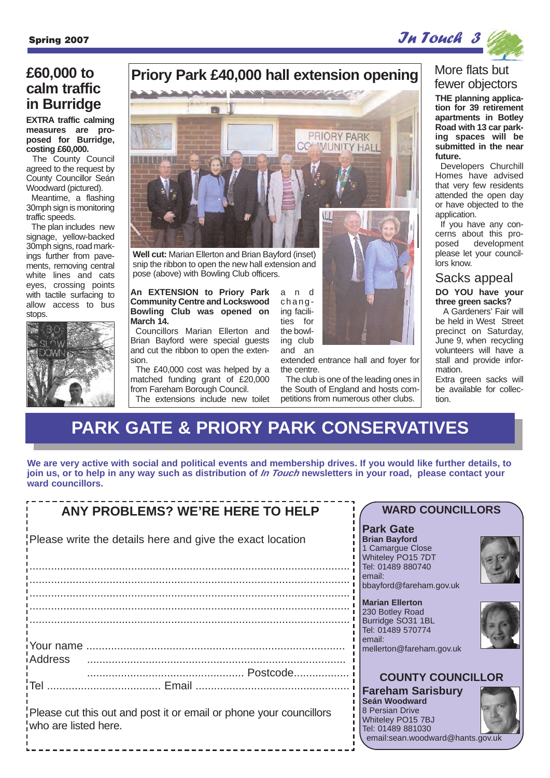

## **£60,000 to calm traffic in Burridge**

**EXTRA traffic calming measures are proposed for Burridge, costing £60,000.**

The County Council agreed to the request by County Councillor Seán Woodward (pictured).

Meantime, a flashing 30mph sign is monitoring traffic speeds.

The plan includes new signage, yellow-backed 30mph signs, road markings further from pavements, removing central white lines and cats eyes, crossing points with tactile surfacing to allow access to bus stops.



## **Priory Park £40,000 hall extension opening**



**Well cut:** Marian Ellerton and Brian Bayford (inset) snip the ribbon to open the new hall extension and pose (above) with Bowling Club officers.

**An EXTENSION to Priory Park Community Centre and Lockswood Bowling Club was opened on March 14.** Councillors Marian Ellerton and

Brian Bayford were special guests and cut the ribbon to open the extension.

The £40,000 cost was helped by a matched funding grant of £20,000 from Fareham Borough Council. The extensions include new toilet and changing facilities for the bowling club and an

extended entrance hall and foyer for the centre.

The club is one of the leading ones in the South of England and hosts competitions from numerous other clubs.

### More flats but fewer objectors

**THE planning application for 39 retirement apartments in Botley Road with 13 car parking spaces will be submitted in the near future.**

Developers Churchill Homes have advised that very few residents attended the open day or have objected to the application.

If you have any concerns about this proposed development please let your councillors know.

#### **DO YOU have your three green sacks?** Sacks appeal

A Gardeners' Fair will be held in West Street precinct on Saturday, June 9, when recycling volunteers will have a stall and provide information.

Extra green sacks will be available for collection.

## **PARK GATE & PRIORY PARK CONSERVATIVES**

**We are very active with social and political events and membership drives. If you would like further details, to join us, or to help in any way such as distribution of In Touch newsletters in your road, please contact your ward councillors.**

| <b>ANY PROBLEMS? WE'RE HERE TO HELP</b>                                                    | <b>WARD COUNCILLORS</b>                                                                                                                    |
|--------------------------------------------------------------------------------------------|--------------------------------------------------------------------------------------------------------------------------------------------|
|                                                                                            |                                                                                                                                            |
| Please write the details here and give the exact location                                  | <b>Park Gate</b><br><b>Brian Bayford</b><br>1 Camargue Close<br>Whiteley PO15 7DT<br>Tel: 01489 880740                                     |
|                                                                                            | email:<br>bbayford@fareham.gov.uk                                                                                                          |
|                                                                                            | Marian Ellerton<br>230 Botley Road<br>Burridge SO31 1BL<br>Tel: 01489 570774<br>email:                                                     |
|                                                                                            | mellerton@fareham.gov.uk                                                                                                                   |
| iAddress                                                                                   |                                                                                                                                            |
|                                                                                            | <b>COUNTY COUNCILLOR</b>                                                                                                                   |
| Please cut this out and post it or email or phone your councillors<br>who are listed here. | <b>Fareham Sarisbury</b><br>Seán Woodward<br>8 Persian Drive<br>Whiteley PO15 7BJ<br>Tel: 01489 881030<br>email:sean.woodward@hants.gov.uk |